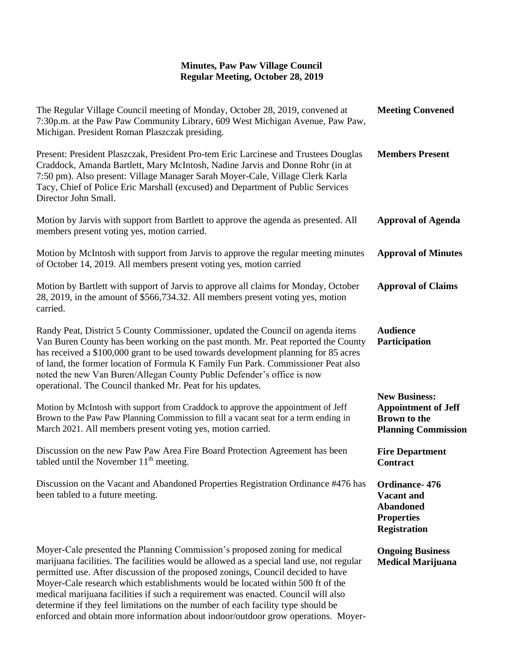## **Minutes, Paw Paw Village Council Regular Meeting, October 28, 2019**

| The Regular Village Council meeting of Monday, October 28, 2019, convened at<br>7:30p.m. at the Paw Paw Community Library, 609 West Michigan Avenue, Paw Paw,<br>Michigan. President Roman Plaszczak presiding.                                                                                                                                                                                                                                                                                                                                                                                            | <b>Meeting Convened</b>                                                                                 |
|------------------------------------------------------------------------------------------------------------------------------------------------------------------------------------------------------------------------------------------------------------------------------------------------------------------------------------------------------------------------------------------------------------------------------------------------------------------------------------------------------------------------------------------------------------------------------------------------------------|---------------------------------------------------------------------------------------------------------|
| Present: President Plaszczak, President Pro-tem Eric Larcinese and Trustees Douglas<br>Craddock, Amanda Bartlett, Mary McIntosh, Nadine Jarvis and Donne Rohr (in at<br>7:50 pm). Also present: Village Manager Sarah Moyer-Cale, Village Clerk Karla<br>Tacy, Chief of Police Eric Marshall (excused) and Department of Public Services<br>Director John Small.                                                                                                                                                                                                                                           | <b>Members Present</b>                                                                                  |
| Motion by Jarvis with support from Bartlett to approve the agenda as presented. All<br>members present voting yes, motion carried.                                                                                                                                                                                                                                                                                                                                                                                                                                                                         | <b>Approval of Agenda</b>                                                                               |
| Motion by McIntosh with support from Jarvis to approve the regular meeting minutes<br>of October 14, 2019. All members present voting yes, motion carried                                                                                                                                                                                                                                                                                                                                                                                                                                                  | <b>Approval of Minutes</b>                                                                              |
| Motion by Bartlett with support of Jarvis to approve all claims for Monday, October<br>28, 2019, in the amount of \$566,734.32. All members present voting yes, motion<br>carried.                                                                                                                                                                                                                                                                                                                                                                                                                         | <b>Approval of Claims</b>                                                                               |
| Randy Peat, District 5 County Commissioner, updated the Council on agenda items<br>Van Buren County has been working on the past month. Mr. Peat reported the County<br>has received a \$100,000 grant to be used towards development planning for 85 acres<br>of land, the former location of Formula K Family Fun Park. Commissioner Peat also<br>noted the new Van Buren/Allegan County Public Defender's office is now<br>operational. The Council thanked Mr. Peat for his updates.                                                                                                                   | <b>Audience</b><br>Participation                                                                        |
| Motion by McIntosh with support from Craddock to approve the appointment of Jeff<br>Brown to the Paw Paw Planning Commission to fill a vacant seat for a term ending in<br>March 2021. All members present voting yes, motion carried.                                                                                                                                                                                                                                                                                                                                                                     | <b>New Business:</b><br><b>Appointment of Jeff</b><br><b>Brown</b> to the<br><b>Planning Commission</b> |
| Discussion on the new Paw Paw Area Fire Board Protection Agreement has been<br>tabled until the November $11th$ meeting.                                                                                                                                                                                                                                                                                                                                                                                                                                                                                   | <b>Fire Department</b><br><b>Contract</b>                                                               |
| Discussion on the Vacant and Abandoned Properties Registration Ordinance #476 has<br>been tabled to a future meeting.                                                                                                                                                                                                                                                                                                                                                                                                                                                                                      | Ordinance-476<br><b>Vacant and</b><br><b>Abandoned</b><br><b>Properties</b><br><b>Registration</b>      |
| Moyer-Cale presented the Planning Commission's proposed zoning for medical<br>marijuana facilities. The facilities would be allowed as a special land use, not regular<br>permitted use. After discussion of the proposed zonings, Council decided to have<br>Moyer-Cale research which establishments would be located within 500 ft of the<br>medical marijuana facilities if such a requirement was enacted. Council will also<br>determine if they feel limitations on the number of each facility type should be<br>enforced and obtain more information about indoor/outdoor grow operations. Moyer- | <b>Ongoing Business</b><br><b>Medical Marijuana</b>                                                     |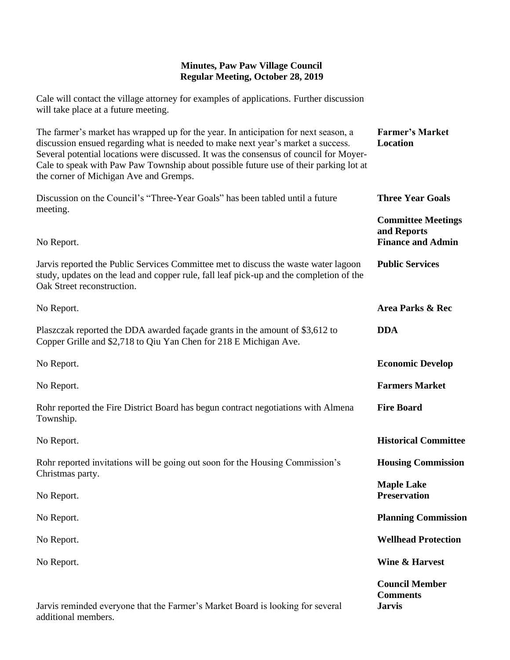## **Minutes, Paw Paw Village Council Regular Meeting, October 28, 2019**

Cale will contact the village attorney for examples of applications. Further discussion will take place at a future meeting.

| The farmer's market has wrapped up for the year. In anticipation for next season, a<br>discussion ensued regarding what is needed to make next year's market a success.<br>Several potential locations were discussed. It was the consensus of council for Moyer-<br>Cale to speak with Paw Paw Township about possible future use of their parking lot at<br>the corner of Michigan Ave and Gremps. | <b>Farmer's Market</b><br>Location                                   |
|------------------------------------------------------------------------------------------------------------------------------------------------------------------------------------------------------------------------------------------------------------------------------------------------------------------------------------------------------------------------------------------------------|----------------------------------------------------------------------|
| Discussion on the Council's "Three-Year Goals" has been tabled until a future<br>meeting.                                                                                                                                                                                                                                                                                                            | <b>Three Year Goals</b>                                              |
| No Report.                                                                                                                                                                                                                                                                                                                                                                                           | <b>Committee Meetings</b><br>and Reports<br><b>Finance and Admin</b> |
| Jarvis reported the Public Services Committee met to discuss the waste water lagoon<br>study, updates on the lead and copper rule, fall leaf pick-up and the completion of the<br>Oak Street reconstruction.                                                                                                                                                                                         | <b>Public Services</b>                                               |
| No Report.                                                                                                                                                                                                                                                                                                                                                                                           | Area Parks & Rec                                                     |
| Plaszczak reported the DDA awarded façade grants in the amount of \$3,612 to<br>Copper Grille and \$2,718 to Qiu Yan Chen for 218 E Michigan Ave.                                                                                                                                                                                                                                                    | <b>DDA</b>                                                           |
| No Report.                                                                                                                                                                                                                                                                                                                                                                                           | <b>Economic Develop</b>                                              |
| No Report.                                                                                                                                                                                                                                                                                                                                                                                           | <b>Farmers Market</b>                                                |
| Rohr reported the Fire District Board has begun contract negotiations with Almena<br>Township.                                                                                                                                                                                                                                                                                                       | <b>Fire Board</b>                                                    |
| No Report.                                                                                                                                                                                                                                                                                                                                                                                           | <b>Historical Committee</b>                                          |
| Rohr reported invitations will be going out soon for the Housing Commission's<br>Christmas party.                                                                                                                                                                                                                                                                                                    | <b>Housing Commission</b>                                            |
| No Report.                                                                                                                                                                                                                                                                                                                                                                                           | <b>Maple Lake</b><br><b>Preservation</b>                             |
| No Report.                                                                                                                                                                                                                                                                                                                                                                                           | <b>Planning Commission</b>                                           |
| No Report.                                                                                                                                                                                                                                                                                                                                                                                           | <b>Wellhead Protection</b>                                           |
| No Report.                                                                                                                                                                                                                                                                                                                                                                                           | <b>Wine &amp; Harvest</b>                                            |
| Jarvis reminded everyone that the Farmer's Market Board is looking for several<br>additional members.                                                                                                                                                                                                                                                                                                | <b>Council Member</b><br><b>Comments</b><br><b>Jarvis</b>            |